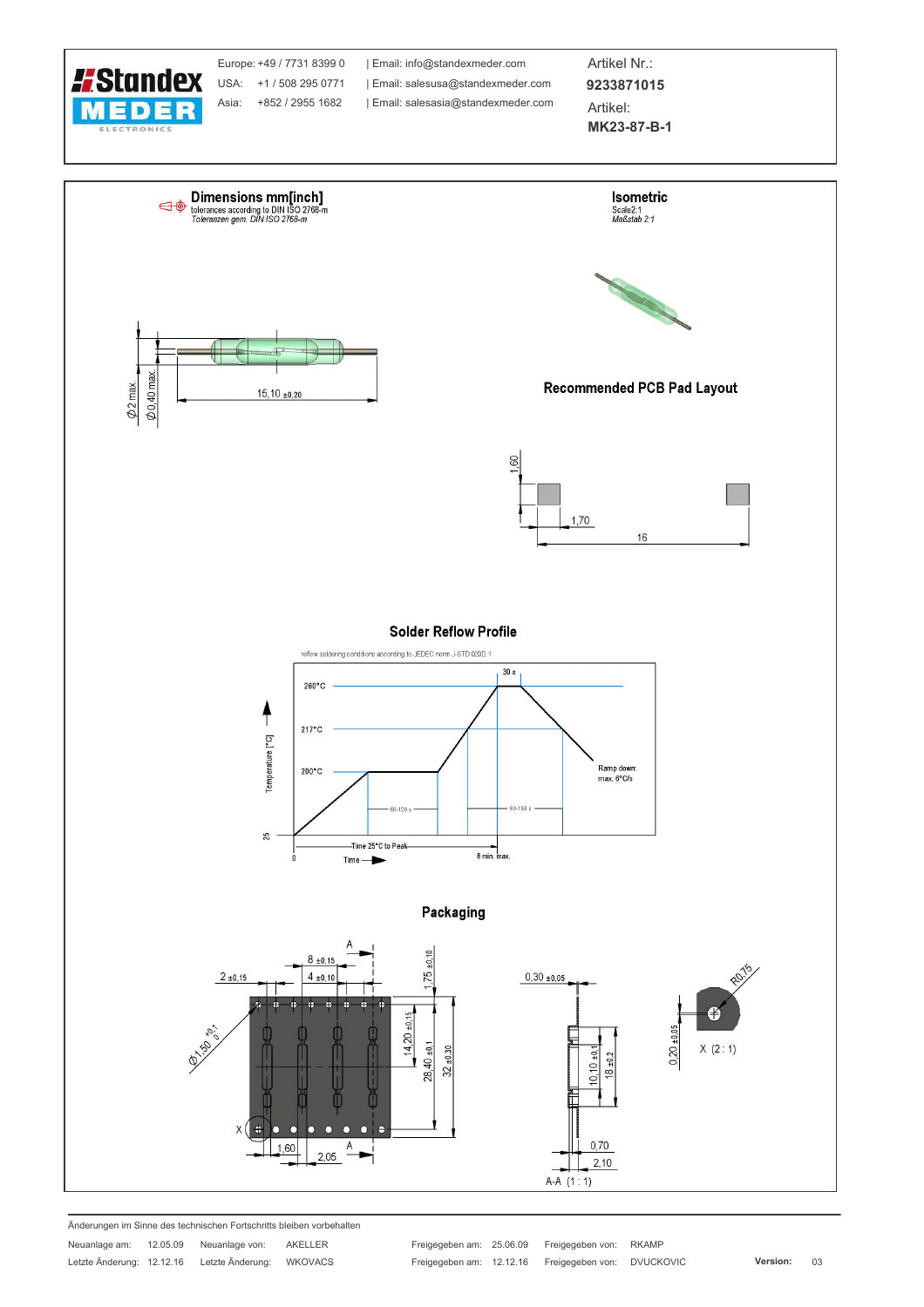

Änderungen im Sinne des technischen Fortschritts bleiben vorbehalten

Neuanlage am: 12.05.09 Neuanlage von: AKELLER Letzte Änderung: 12.12.16 Letzte Änderung: WKOVACS